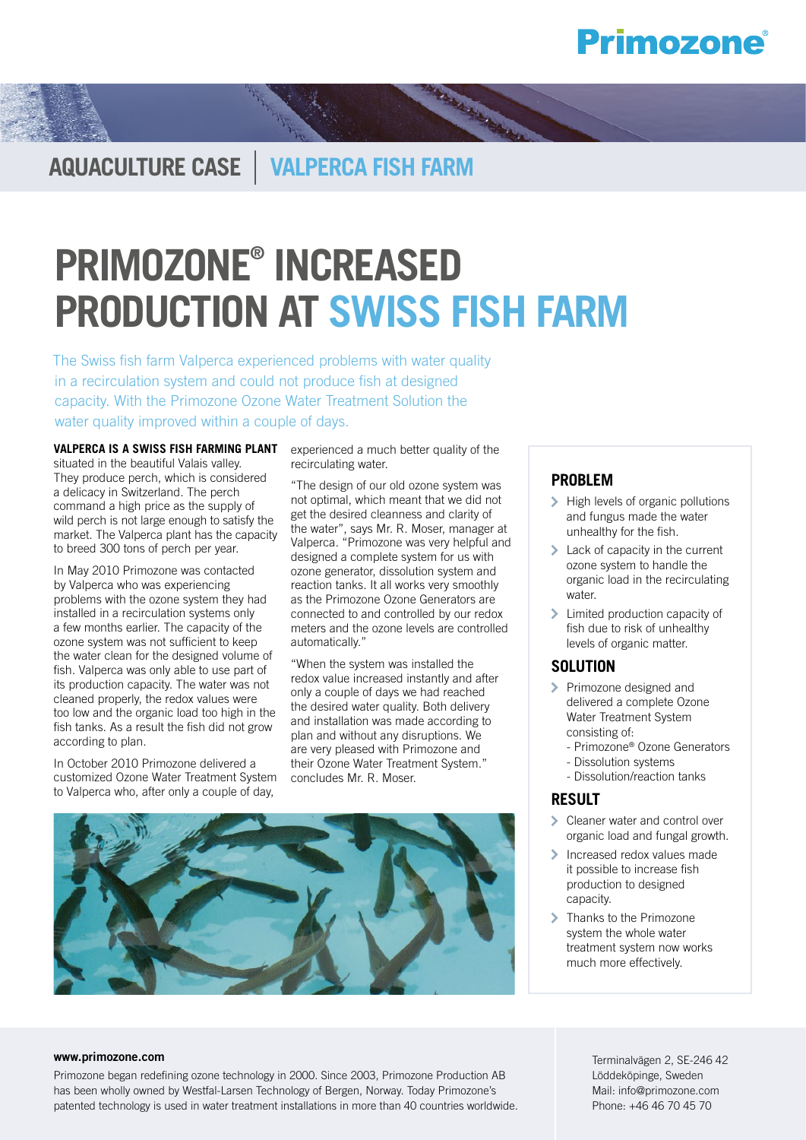# **Primozone**

## **AQUACULTURE CASE VALPERCA FISH FARM**

# **PRIMOZONE® INCREASED PRODUCTION AT SWISS FISH FARM**

The Swiss fish farm Valperca experienced problems with water quality in a recirculation system and could not produce fish at designed capacity. With the Primozone Ozone Water Treatment Solution the water quality improved within a couple of days.

**VALPERCA IS A SWISS FISH FARMING PLANT**  situated in the beautiful Valais valley. They produce perch, which is considered a delicacy in Switzerland. The perch command a high price as the supply of wild perch is not large enough to satisfy the market. The Valperca plant has the capacity to breed 300 tons of perch per year.

In May 2010 Primozone was contacted by Valperca who was experiencing problems with the ozone system they had installed in a recirculation systems only a few months earlier. The capacity of the ozone system was not sufficient to keep the water clean for the designed volume of fish. Valperca was only able to use part of its production capacity. The water was not cleaned properly, the redox values were too low and the organic load too high in the fish tanks. As a result the fish did not grow according to plan.

In October 2010 Primozone delivered a customized Ozone Water Treatment System to Valperca who, after only a couple of day,

experienced a much better quality of the recirculating water.

**SALL LINE** 

"The design of our old ozone system was not optimal, which meant that we did not get the desired cleanness and clarity of the water", says Mr. R. Moser, manager at Valperca. "Primozone was very helpful and designed a complete system for us with ozone generator, dissolution system and reaction tanks. It all works very smoothly as the Primozone Ozone Generators are connected to and controlled by our redox meters and the ozone levels are controlled automatically."

"When the system was installed the redox value increased instantly and after only a couple of days we had reached the desired water quality. Both delivery and installation was made according to plan and without any disruptions. We are very pleased with Primozone and their Ozone Water Treatment System." concludes Mr. R. Moser.



#### **PROBLEM**

- $\triangleright$  High levels of organic pollutions and fungus made the water unhealthy for the fish.
- I Lack of capacity in the current ozone system to handle the organic load in the recirculating water.
- > Limited production capacity of fish due to risk of unhealthy levels of organic matter.

#### **SOLUTION**

- > Primozone designed and delivered a complete Ozone Water Treatment System consisting of:
	- Primozone® Ozone Generators
	- Dissolution systems
	- Dissolution/reaction tanks

#### **RESULT**

- Cleaner water and control over organic load and fungal growth.
- $\sum$  Increased redox values made it possible to increase fish production to designed capacity.
- Thanks to the Primozone system the whole water treatment system now works much more effectively.

#### www.primozone.com **Terminalvägen 2, SE-246 42**

Primozone began redefining ozone technology in 2000. Since 2003, Primozone Production AB has been wholly owned by Westfal-Larsen Technology of Bergen, Norway. Today Primozone's patented technology is used in water treatment installations in more than 40 countries worldwide. Löddeköpinge, Sweden Mail: info@primozone.com Phone: +46 46 70 45 70